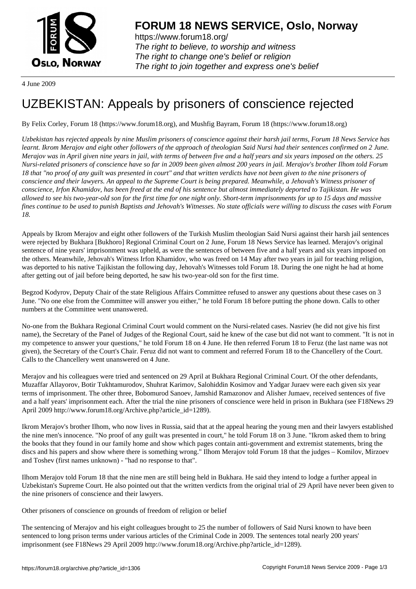

https://www.forum18.org/ The right to believe, to worship and witness The right to change one's belief or religion [The right to join together a](https://www.forum18.org/)nd express one's belief

4 June 2009

## [UZBEKISTAN:](https://www.forum18.org) Appeals by prisoners of conscience rejected

By Felix Corley, Forum 18 (https://www.forum18.org), and Mushfig Bayram, Forum 18 (https://www.forum18.org)

*Uzbekistan has rejected appeals by nine Muslim prisoners of conscience against their harsh jail terms, Forum 18 News Service has learnt. Ikrom Merajov and eight other followers of the approach of theologian Said Nursi had their sentences confirmed on 2 June. Merajov was in April given nine years in jail, with terms of between five and a half years and six years imposed on the others. 25 Nursi-related prisoners of conscience have so far in 2009 been given almost 200 years in jail. Merajov's brother Ilhom told Forum 18 that "no proof of any guilt was presented in court" and that written verdicts have not been given to the nine prisoners of conscience and their lawyers. An appeal to the Supreme Court is being prepared. Meanwhile, a Jehovah's Witness prisoner of conscience, Irfon Khamidov, has been freed at the end of his sentence but almost immediately deported to Tajikistan. He was allowed to see his two-year-old son for the first time for one night only. Short-term imprisonments for up to 15 days and massive fines continue to be used to punish Baptists and Jehovah's Witnesses. No state officials were willing to discuss the cases with Forum 18.*

Appeals by Ikrom Merajov and eight other followers of the Turkish Muslim theologian Said Nursi against their harsh jail sentences were rejected by Bukhara [Bukhoro] Regional Criminal Court on 2 June, Forum 18 News Service has learned. Merajov's original sentence of nine years' imprisonment was upheld, as were the sentences of between five and a half years and six years imposed on the others. Meanwhile, Jehovah's Witness Irfon Khamidov, who was freed on 14 May after two years in jail for teaching religion, was deported to his native Tajikistan the following day, Jehovah's Witnesses told Forum 18. During the one night he had at home after getting out of jail before being deported, he saw his two-year-old son for the first time.

Begzod Kodyrov, Deputy Chair of the state Religious Affairs Committee refused to answer any questions about these cases on 3 June. "No one else from the Committee will answer you either," he told Forum 18 before putting the phone down. Calls to other numbers at the Committee went unanswered.

No-one from the Bukhara Regional Criminal Court would comment on the Nursi-related cases. Nasriev (he did not give his first name), the Secretary of the Panel of Judges of the Regional Court, said he knew of the case but did not want to comment. "It is not in my competence to answer your questions," he told Forum 18 on 4 June. He then referred Forum 18 to Feruz (the last name was not given), the Secretary of the Court's Chair. Feruz did not want to comment and referred Forum 18 to the Chancellery of the Court. Calls to the Chancellery went unanswered on 4 June.

Merajov and his colleagues were tried and sentenced on 29 April at Bukhara Regional Criminal Court. Of the other defendants, Muzaffar Allayorov, Botir Tukhtamurodov, Shuhrat Karimov, Salohiddin Kosimov and Yadgar Juraev were each given six year terms of imprisonment. The other three, Bobomurod Sanoev, Jamshid Ramazonov and Alisher Jumaev, received sentences of five and a half years' imprisonment each. After the trial the nine prisoners of conscience were held in prison in Bukhara (see F18News 29 April 2009 http://www.forum18.org/Archive.php?article\_id=1289).

Ikrom Merajov's brother Ilhom, who now lives in Russia, said that at the appeal hearing the young men and their lawyers established the nine men's innocence. "No proof of any guilt was presented in court," he told Forum 18 on 3 June. "Ikrom asked them to bring the books that they found in our family home and show which pages contain anti-government and extremist statements, bring the discs and his papers and show where there is something wrong." Ilhom Merajov told Forum 18 that the judges – Komilov, Mirzoev and Toshev (first names unknown) - "had no response to that".

Ilhom Merajov told Forum 18 that the nine men are still being held in Bukhara. He said they intend to lodge a further appeal in Uzbekistan's Supreme Court. He also pointed out that the written verdicts from the original trial of 29 April have never been given to the nine prisoners of conscience and their lawyers.

Other prisoners of conscience on grounds of freedom of religion or belief

The sentencing of Merajov and his eight colleagues brought to 25 the number of followers of Said Nursi known to have been sentenced to long prison terms under various articles of the Criminal Code in 2009. The sentences total nearly 200 years' imprisonment (see F18News 29 April 2009 http://www.forum18.org/Archive.php?article\_id=1289).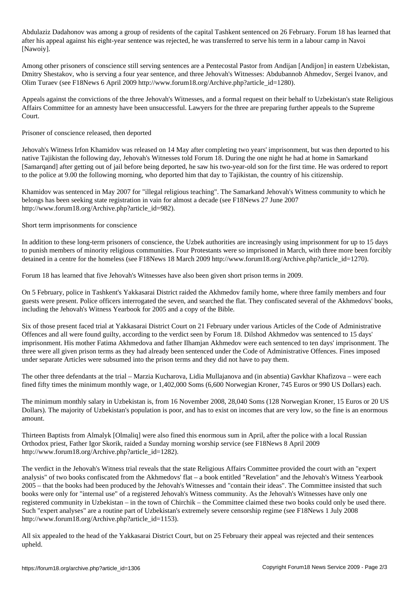Abdulaziz Dadahonov was among a group of residents of the capital Tashkent sentenced on 26 February. Forum 18 has learned that after his appeal against his eight-year sentence was rejected, he was transferred to serve his term in a labour camp in Navoi [Nawoiy].

Among other prisoners of conscience still serving sentences are a Pentecostal Pastor from Andijan [Andijon] in eastern Uzbekistan, Dmitry Shestakov, who is serving a four year sentence, and three Jehovah's Witnesses: Abdubannob Ahmedov, Sergei Ivanov, and Olim Turaev (see F18News 6 April 2009 http://www.forum18.org/Archive.php?article\_id=1280).

Appeals against the convictions of the three Jehovah's Witnesses, and a formal request on their behalf to Uzbekistan's state Religious Affairs Committee for an amnesty have been unsuccessful. Lawyers for the three are preparing further appeals to the Supreme Court.

Prisoner of conscience released, then deported

Jehovah's Witness Irfon Khamidov was released on 14 May after completing two years' imprisonment, but was then deported to his native Tajikistan the following day, Jehovah's Witnesses told Forum 18. During the one night he had at home in Samarkand [Samarqand] after getting out of jail before being deported, he saw his two-year-old son for the first time. He was ordered to report to the police at 9.00 the following morning, who deported him that day to Tajikistan, the country of his citizenship.

Khamidov was sentenced in May 2007 for "illegal religious teaching". The Samarkand Jehovah's Witness community to which he belongs has been seeking state registration in vain for almost a decade (see F18News 27 June 2007 http://www.forum18.org/Archive.php?article\_id=982).

Short term imprisonments for conscience

In addition to these long-term prisoners of conscience, the Uzbek authorities are increasingly using imprisonment for up to 15 days to punish members of minority religious communities. Four Protestants were so imprisoned in March, with three more been forcibly detained in a centre for the homeless (see F18News 18 March 2009 http://www.forum18.org/Archive.php?article\_id=1270).

Forum 18 has learned that five Jehovah's Witnesses have also been given short prison terms in 2009.

On 5 February, police in Tashkent's Yakkasarai District raided the Akhmedov family home, where three family members and four guests were present. Police officers interrogated the seven, and searched the flat. They confiscated several of the Akhmedovs' books, including the Jehovah's Witness Yearbook for 2005 and a copy of the Bible.

Six of those present faced trial at Yakkasarai District Court on 21 February under various Articles of the Code of Administrative Offences and all were found guilty, according to the verdict seen by Forum 18. Dilshod Akhmedov was sentenced to 15 days' imprisonment. His mother Fatima Akhmedova and father Ilhamjan Akhmedov were each sentenced to ten days' imprisonment. The three were all given prison terms as they had already been sentenced under the Code of Administrative Offences. Fines imposed under separate Articles were subsumed into the prison terms and they did not have to pay them.

The other three defendants at the trial – Marzia Kucharova, Lidia Mullajanova and (in absentia) Gavkhar Khafizova – were each fined fifty times the minimum monthly wage, or 1,402,000 Soms (6,600 Norwegian Kroner, 745 Euros or 990 US Dollars) each.

The minimum monthly salary in Uzbekistan is, from 16 November 2008, 28,040 Soms (128 Norwegian Kroner, 15 Euros or 20 US Dollars). The majority of Uzbekistan's population is poor, and has to exist on incomes that are very low, so the fine is an enormous amount.

Thirteen Baptists from Almalyk [Olmaliq] were also fined this enormous sum in April, after the police with a local Russian Orthodox priest, Father Igor Skorik, raided a Sunday morning worship service (see F18News 8 April 2009 http://www.forum18.org/Archive.php?article\_id=1282).

The verdict in the Jehovah's Witness trial reveals that the state Religious Affairs Committee provided the court with an "expert analysis" of two books confiscated from the Akhmedovs' flat – a book entitled "Revelation" and the Jehovah's Witness Yearbook 2005 – that the books had been produced by the Jehovah's Witnesses and "contain their ideas". The Committee insisted that such books were only for "internal use" of a registered Jehovah's Witness community. As the Jehovah's Witnesses have only one registered community in Uzbekistan – in the town of Chirchik – the Committee claimed these two books could only be used there. Such "expert analyses" are a routine part of Uzbekistan's extremely severe censorship regime (see F18News 1 July 2008 http://www.forum18.org/Archive.php?article\_id=1153).

All six appealed to the head of the Yakkasarai District Court, but on 25 February their appeal was rejected and their sentences upheld.